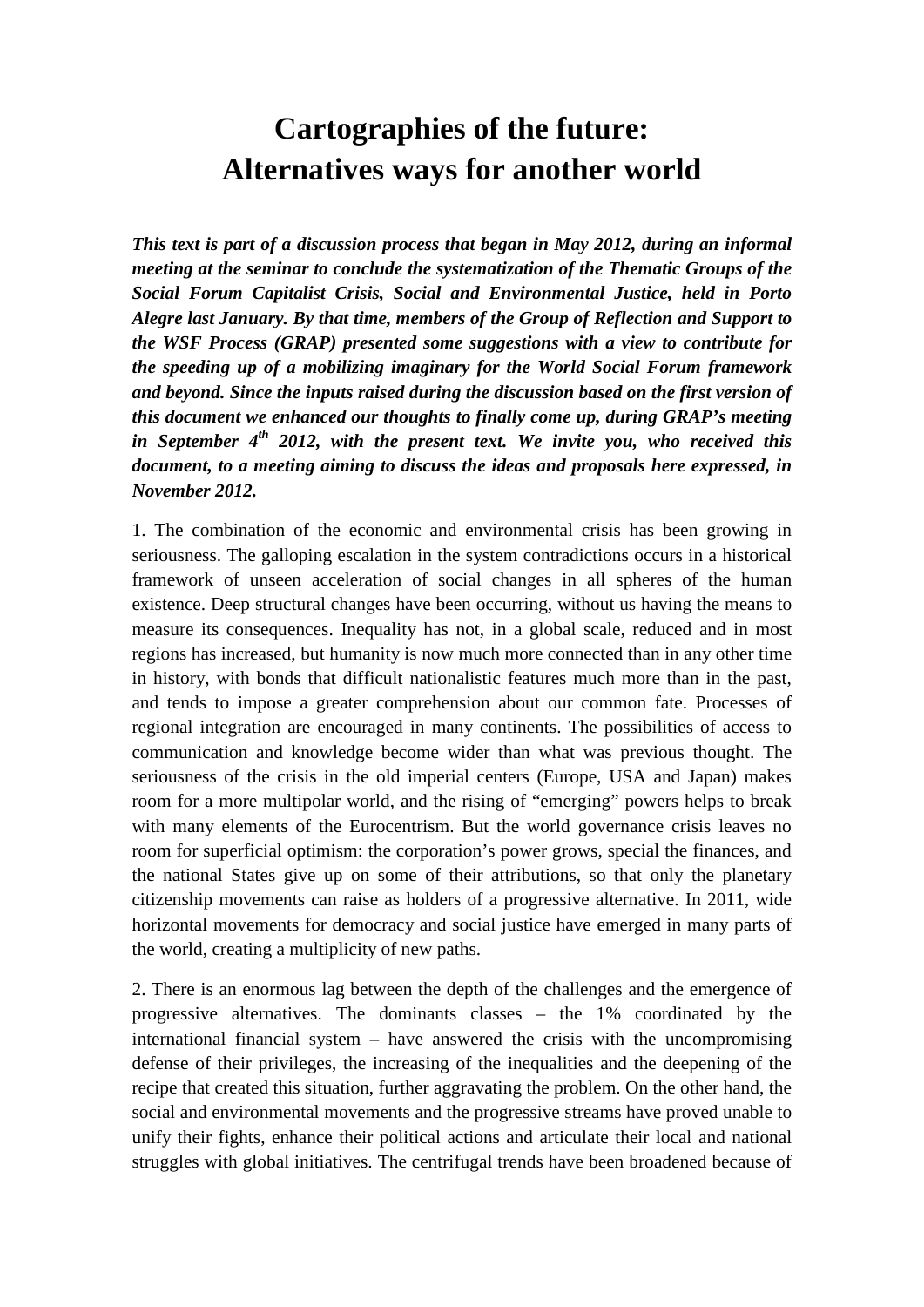## **Cartographies of the future: Alternatives ways for another world**

*This text is part of a discussion process that began in May 2012, during an informal meeting at the seminar to conclude the systematization of the Thematic Groups of the Social Forum Capitalist Crisis, Social and Environmental Justice, held in Porto Alegre last January. By that time, members of the Group of Reflection and Support to the WSF Process (GRAP) presented some suggestions with a view to contribute for the speeding up of a mobilizing imaginary for the World Social Forum framework and beyond. Since the inputs raised during the discussion based on the first version of this document we enhanced our thoughts to finally come up, during GRAP's meeting in September 4th 2012, with the present text. We invite you, who received this document, to a meeting aiming to discuss the ideas and proposals here expressed, in November 2012.* 

1. The combination of the economic and environmental crisis has been growing in seriousness. The galloping escalation in the system contradictions occurs in a historical framework of unseen acceleration of social changes in all spheres of the human existence. Deep structural changes have been occurring, without us having the means to measure its consequences. Inequality has not, in a global scale, reduced and in most regions has increased, but humanity is now much more connected than in any other time in history, with bonds that difficult nationalistic features much more than in the past, and tends to impose a greater comprehension about our common fate. Processes of regional integration are encouraged in many continents. The possibilities of access to communication and knowledge become wider than what was previous thought. The seriousness of the crisis in the old imperial centers (Europe, USA and Japan) makes room for a more multipolar world, and the rising of "emerging" powers helps to break with many elements of the Eurocentrism. But the world governance crisis leaves no room for superficial optimism: the corporation's power grows, special the finances, and the national States give up on some of their attributions, so that only the planetary citizenship movements can raise as holders of a progressive alternative. In 2011, wide horizontal movements for democracy and social justice have emerged in many parts of the world, creating a multiplicity of new paths.

2. There is an enormous lag between the depth of the challenges and the emergence of progressive alternatives. The dominants classes – the 1% coordinated by the international financial system – have answered the crisis with the uncompromising defense of their privileges, the increasing of the inequalities and the deepening of the recipe that created this situation, further aggravating the problem. On the other hand, the social and environmental movements and the progressive streams have proved unable to unify their fights, enhance their political actions and articulate their local and national struggles with global initiatives. The centrifugal trends have been broadened because of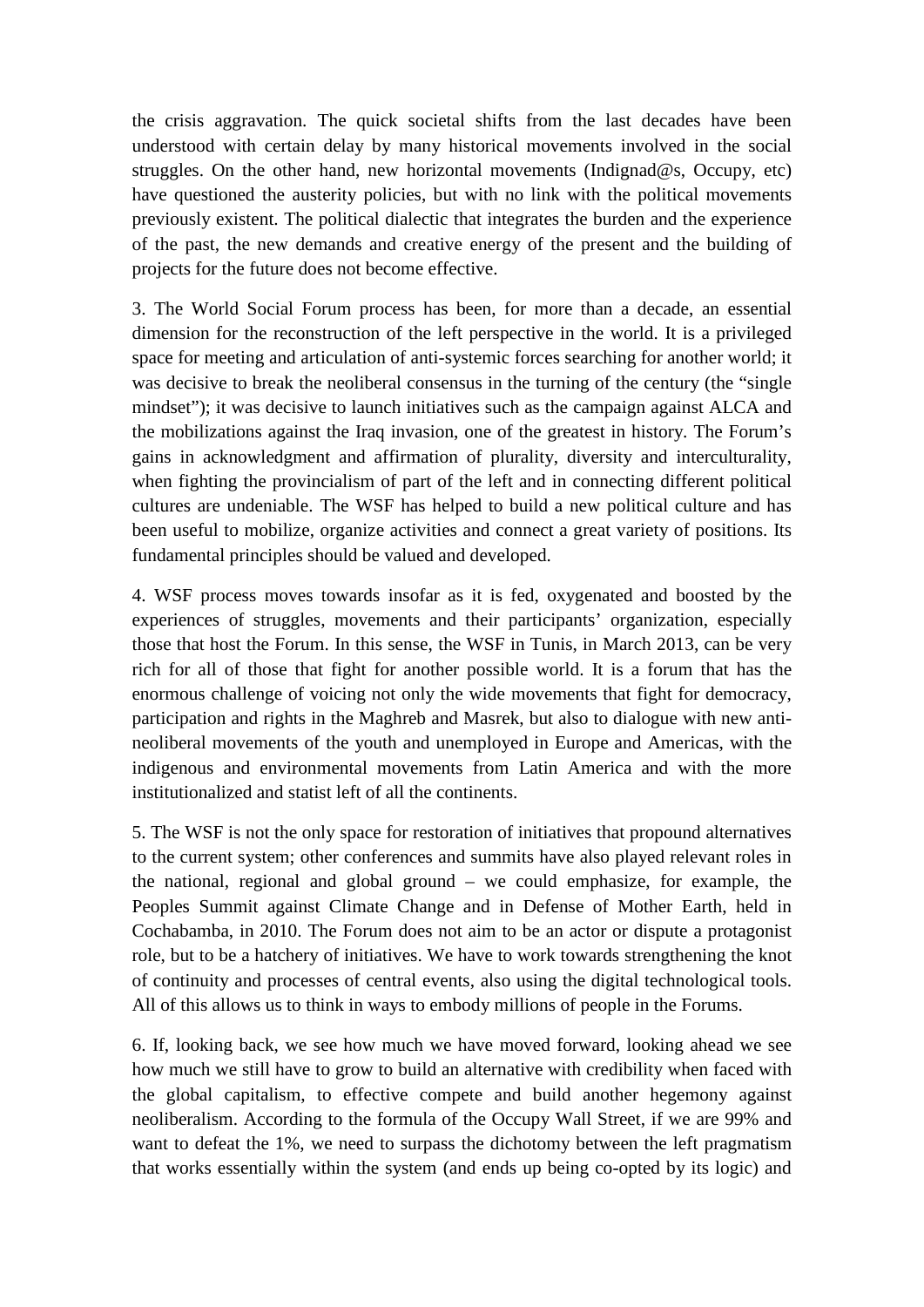the crisis aggravation. The quick societal shifts from the last decades have been understood with certain delay by many historical movements involved in the social struggles. On the other hand, new horizontal movements (Indignad@s, Occupy, etc) have questioned the austerity policies, but with no link with the political movements previously existent. The political dialectic that integrates the burden and the experience of the past, the new demands and creative energy of the present and the building of projects for the future does not become effective.

3. The World Social Forum process has been, for more than a decade, an essential dimension for the reconstruction of the left perspective in the world. It is a privileged space for meeting and articulation of anti-systemic forces searching for another world; it was decisive to break the neoliberal consensus in the turning of the century (the "single mindset"); it was decisive to launch initiatives such as the campaign against ALCA and the mobilizations against the Iraq invasion, one of the greatest in history. The Forum's gains in acknowledgment and affirmation of plurality, diversity and interculturality, when fighting the provincialism of part of the left and in connecting different political cultures are undeniable. The WSF has helped to build a new political culture and has been useful to mobilize, organize activities and connect a great variety of positions. Its fundamental principles should be valued and developed.

4. WSF process moves towards insofar as it is fed, oxygenated and boosted by the experiences of struggles, movements and their participants' organization, especially those that host the Forum. In this sense, the WSF in Tunis, in March 2013, can be very rich for all of those that fight for another possible world. It is a forum that has the enormous challenge of voicing not only the wide movements that fight for democracy, participation and rights in the Maghreb and Masrek, but also to dialogue with new antineoliberal movements of the youth and unemployed in Europe and Americas, with the indigenous and environmental movements from Latin America and with the more institutionalized and statist left of all the continents.

5. The WSF is not the only space for restoration of initiatives that propound alternatives to the current system; other conferences and summits have also played relevant roles in the national, regional and global ground – we could emphasize, for example, the Peoples Summit against Climate Change and in Defense of Mother Earth, held in Cochabamba, in 2010. The Forum does not aim to be an actor or dispute a protagonist role, but to be a hatchery of initiatives. We have to work towards strengthening the knot of continuity and processes of central events, also using the digital technological tools. All of this allows us to think in ways to embody millions of people in the Forums.

6. If, looking back, we see how much we have moved forward, looking ahead we see how much we still have to grow to build an alternative with credibility when faced with the global capitalism, to effective compete and build another hegemony against neoliberalism. According to the formula of the Occupy Wall Street, if we are 99% and want to defeat the 1%, we need to surpass the dichotomy between the left pragmatism that works essentially within the system (and ends up being co-opted by its logic) and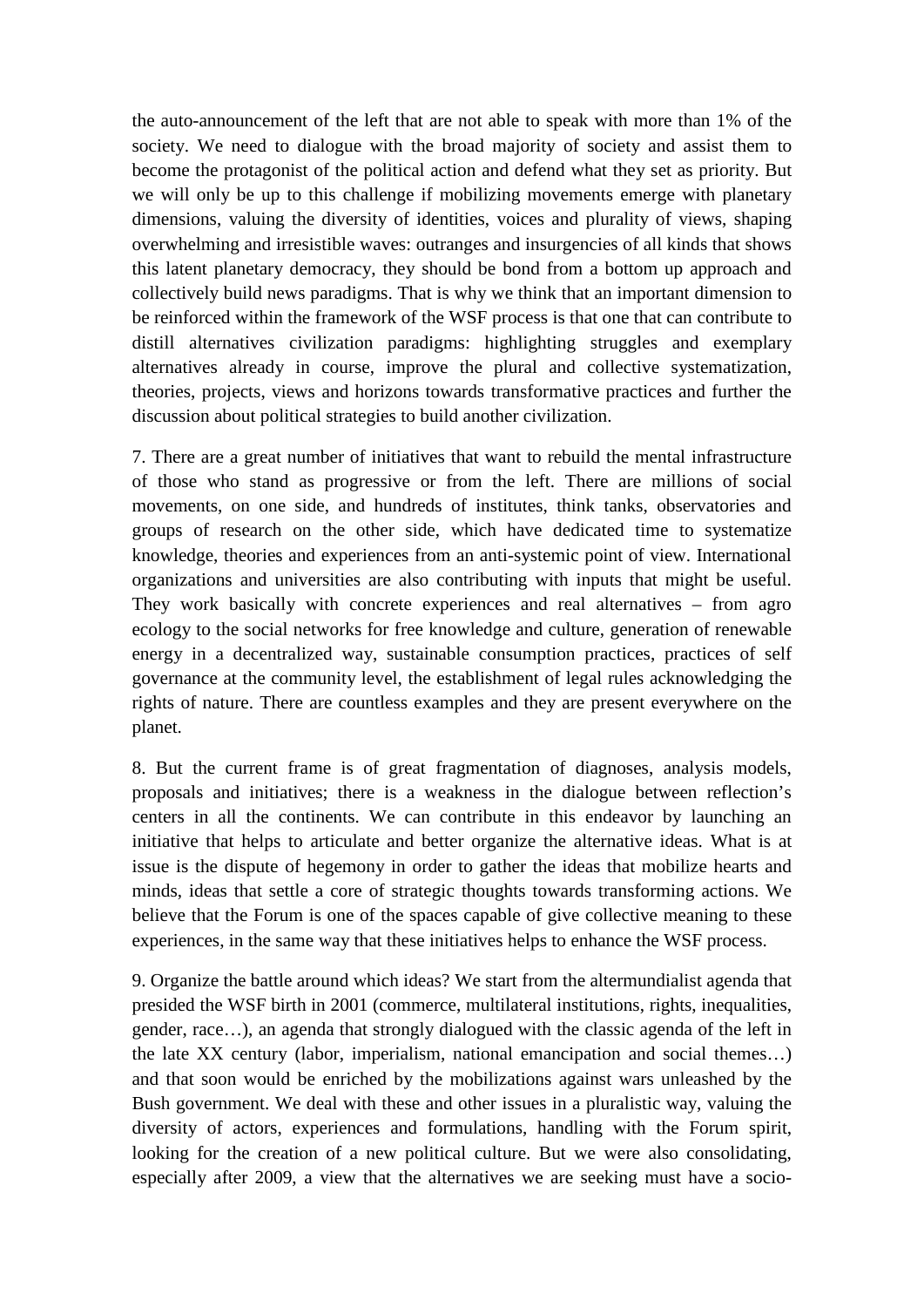the auto-announcement of the left that are not able to speak with more than 1% of the society. We need to dialogue with the broad majority of society and assist them to become the protagonist of the political action and defend what they set as priority. But we will only be up to this challenge if mobilizing movements emerge with planetary dimensions, valuing the diversity of identities, voices and plurality of views, shaping overwhelming and irresistible waves: outranges and insurgencies of all kinds that shows this latent planetary democracy, they should be bond from a bottom up approach and collectively build news paradigms. That is why we think that an important dimension to be reinforced within the framework of the WSF process is that one that can contribute to distill alternatives civilization paradigms: highlighting struggles and exemplary alternatives already in course, improve the plural and collective systematization, theories, projects, views and horizons towards transformative practices and further the discussion about political strategies to build another civilization.

7. There are a great number of initiatives that want to rebuild the mental infrastructure of those who stand as progressive or from the left. There are millions of social movements, on one side, and hundreds of institutes, think tanks, observatories and groups of research on the other side, which have dedicated time to systematize knowledge, theories and experiences from an anti-systemic point of view. International organizations and universities are also contributing with inputs that might be useful. They work basically with concrete experiences and real alternatives – from agro ecology to the social networks for free knowledge and culture, generation of renewable energy in a decentralized way, sustainable consumption practices, practices of self governance at the community level, the establishment of legal rules acknowledging the rights of nature. There are countless examples and they are present everywhere on the planet.

8. But the current frame is of great fragmentation of diagnoses, analysis models, proposals and initiatives; there is a weakness in the dialogue between reflection's centers in all the continents. We can contribute in this endeavor by launching an initiative that helps to articulate and better organize the alternative ideas. What is at issue is the dispute of hegemony in order to gather the ideas that mobilize hearts and minds, ideas that settle a core of strategic thoughts towards transforming actions. We believe that the Forum is one of the spaces capable of give collective meaning to these experiences, in the same way that these initiatives helps to enhance the WSF process.

9. Organize the battle around which ideas? We start from the altermundialist agenda that presided the WSF birth in 2001 (commerce, multilateral institutions, rights, inequalities, gender, race…), an agenda that strongly dialogued with the classic agenda of the left in the late XX century (labor, imperialism, national emancipation and social themes…) and that soon would be enriched by the mobilizations against wars unleashed by the Bush government. We deal with these and other issues in a pluralistic way, valuing the diversity of actors, experiences and formulations, handling with the Forum spirit, looking for the creation of a new political culture. But we were also consolidating, especially after 2009, a view that the alternatives we are seeking must have a socio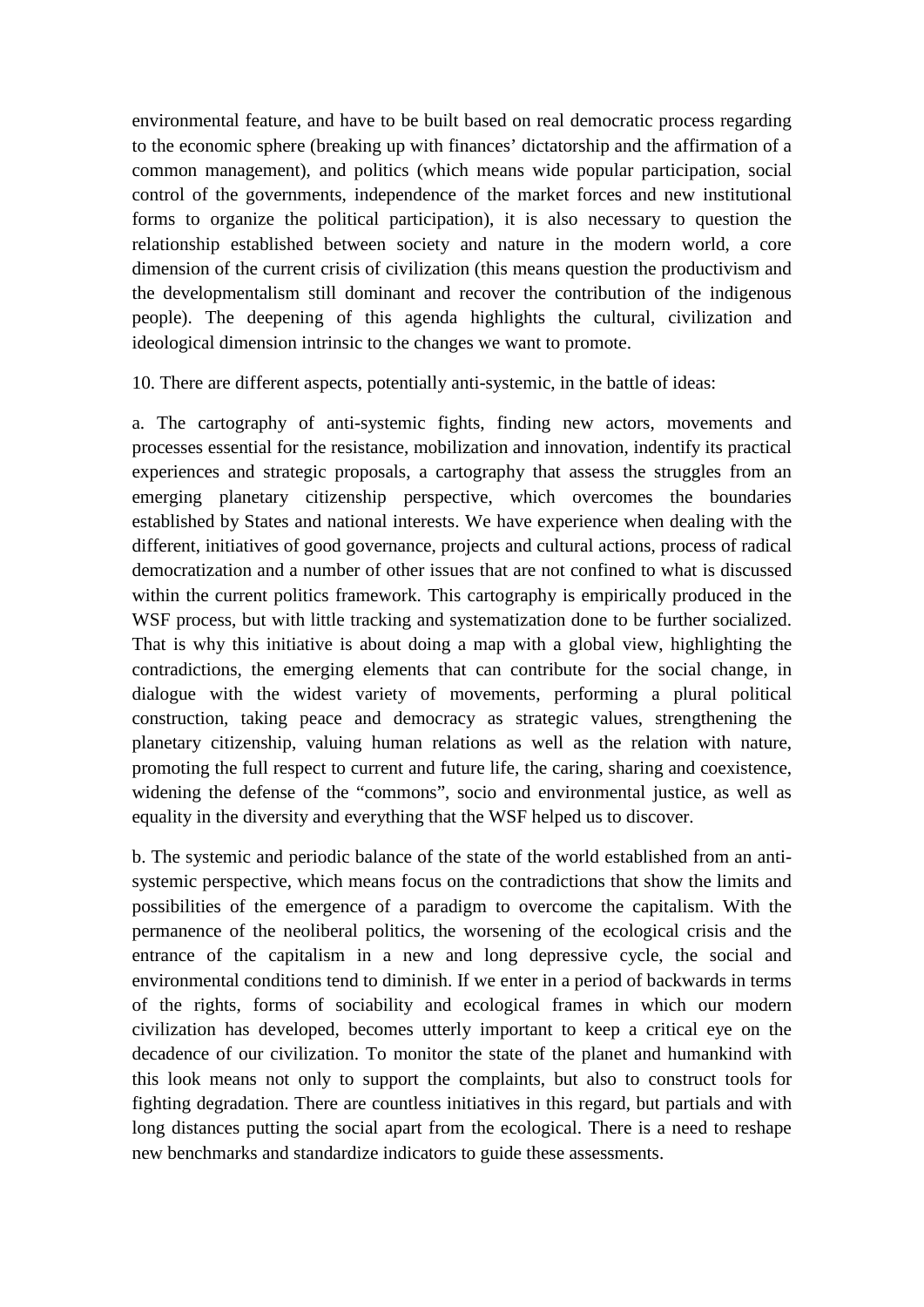environmental feature, and have to be built based on real democratic process regarding to the economic sphere (breaking up with finances' dictatorship and the affirmation of a common management), and politics (which means wide popular participation, social control of the governments, independence of the market forces and new institutional forms to organize the political participation), it is also necessary to question the relationship established between society and nature in the modern world, a core dimension of the current crisis of civilization (this means question the productivism and the developmentalism still dominant and recover the contribution of the indigenous people). The deepening of this agenda highlights the cultural, civilization and ideological dimension intrinsic to the changes we want to promote.

10. There are different aspects, potentially anti-systemic, in the battle of ideas:

a. The cartography of anti-systemic fights, finding new actors, movements and processes essential for the resistance, mobilization and innovation, indentify its practical experiences and strategic proposals, a cartography that assess the struggles from an emerging planetary citizenship perspective, which overcomes the boundaries established by States and national interests. We have experience when dealing with the different, initiatives of good governance, projects and cultural actions, process of radical democratization and a number of other issues that are not confined to what is discussed within the current politics framework. This cartography is empirically produced in the WSF process, but with little tracking and systematization done to be further socialized. That is why this initiative is about doing a map with a global view, highlighting the contradictions, the emerging elements that can contribute for the social change, in dialogue with the widest variety of movements, performing a plural political construction, taking peace and democracy as strategic values, strengthening the planetary citizenship, valuing human relations as well as the relation with nature, promoting the full respect to current and future life, the caring, sharing and coexistence, widening the defense of the "commons", socio and environmental justice, as well as equality in the diversity and everything that the WSF helped us to discover.

b. The systemic and periodic balance of the state of the world established from an antisystemic perspective, which means focus on the contradictions that show the limits and possibilities of the emergence of a paradigm to overcome the capitalism. With the permanence of the neoliberal politics, the worsening of the ecological crisis and the entrance of the capitalism in a new and long depressive cycle, the social and environmental conditions tend to diminish. If we enter in a period of backwards in terms of the rights, forms of sociability and ecological frames in which our modern civilization has developed, becomes utterly important to keep a critical eye on the decadence of our civilization. To monitor the state of the planet and humankind with this look means not only to support the complaints, but also to construct tools for fighting degradation. There are countless initiatives in this regard, but partials and with long distances putting the social apart from the ecological. There is a need to reshape new benchmarks and standardize indicators to guide these assessments.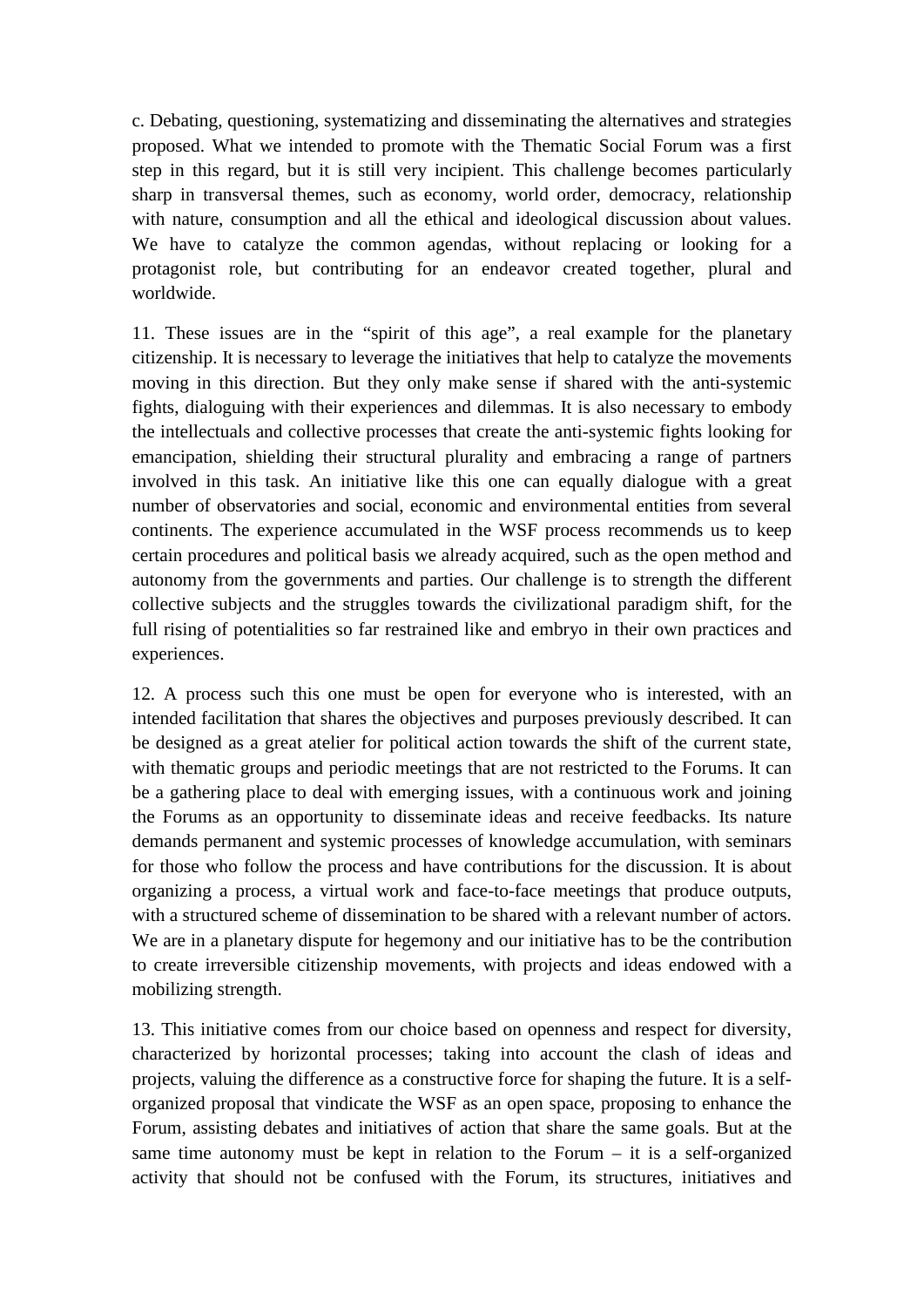c. Debating, questioning, systematizing and disseminating the alternatives and strategies proposed. What we intended to promote with the Thematic Social Forum was a first step in this regard, but it is still very incipient. This challenge becomes particularly sharp in transversal themes, such as economy, world order, democracy, relationship with nature, consumption and all the ethical and ideological discussion about values. We have to catalyze the common agendas, without replacing or looking for a protagonist role, but contributing for an endeavor created together, plural and worldwide.

11. These issues are in the "spirit of this age", a real example for the planetary citizenship. It is necessary to leverage the initiatives that help to catalyze the movements moving in this direction. But they only make sense if shared with the anti-systemic fights, dialoguing with their experiences and dilemmas. It is also necessary to embody the intellectuals and collective processes that create the anti-systemic fights looking for emancipation, shielding their structural plurality and embracing a range of partners involved in this task. An initiative like this one can equally dialogue with a great number of observatories and social, economic and environmental entities from several continents. The experience accumulated in the WSF process recommends us to keep certain procedures and political basis we already acquired, such as the open method and autonomy from the governments and parties. Our challenge is to strength the different collective subjects and the struggles towards the civilizational paradigm shift, for the full rising of potentialities so far restrained like and embryo in their own practices and experiences.

12. A process such this one must be open for everyone who is interested, with an intended facilitation that shares the objectives and purposes previously described. It can be designed as a great atelier for political action towards the shift of the current state, with thematic groups and periodic meetings that are not restricted to the Forums. It can be a gathering place to deal with emerging issues, with a continuous work and joining the Forums as an opportunity to disseminate ideas and receive feedbacks. Its nature demands permanent and systemic processes of knowledge accumulation, with seminars for those who follow the process and have contributions for the discussion. It is about organizing a process, a virtual work and face-to-face meetings that produce outputs, with a structured scheme of dissemination to be shared with a relevant number of actors. We are in a planetary dispute for hegemony and our initiative has to be the contribution to create irreversible citizenship movements, with projects and ideas endowed with a mobilizing strength.

13. This initiative comes from our choice based on openness and respect for diversity, characterized by horizontal processes; taking into account the clash of ideas and projects, valuing the difference as a constructive force for shaping the future. It is a selforganized proposal that vindicate the WSF as an open space, proposing to enhance the Forum, assisting debates and initiatives of action that share the same goals. But at the same time autonomy must be kept in relation to the Forum – it is a self-organized activity that should not be confused with the Forum, its structures, initiatives and